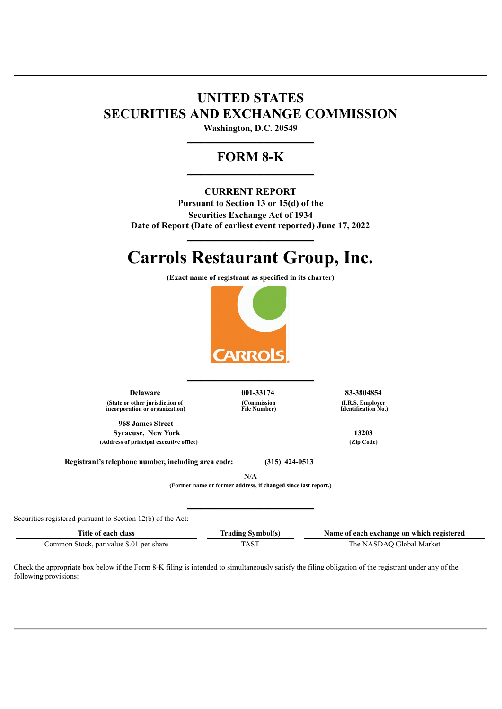## **UNITED STATES SECURITIES AND EXCHANGE COMMISSION**

**Washington, D.C. 20549 \_\_\_\_\_\_\_\_\_\_\_\_\_\_\_\_\_\_\_\_\_\_\_\_\_\_\_\_**

### **FORM 8-K \_\_\_\_\_\_\_\_\_\_\_\_\_\_\_\_\_\_\_\_\_\_\_\_\_\_\_\_**

#### **CURRENT REPORT**

**Pursuant to Section 13 or 15(d) of the Securities Exchange Act of 1934 Date of Report (Date of earliest event reported) June 17, 2022**

# **Carrols Restaurant Group, Inc.**

**\_\_\_\_\_\_\_\_\_\_\_\_\_\_\_\_\_\_\_\_\_\_\_\_\_\_\_\_**

**(Exact name of registrant as specified in its charter)**



**\_\_\_\_\_\_\_\_\_\_\_\_\_\_\_\_\_\_\_\_\_\_\_\_\_\_\_\_**

**Delaware 001-33174 83-3804854 (State or other jurisdiction of incorporation or organization)**

**968 James Street Syracuse, New York 13203 (Address of principal executive office) (Zip Code)**

**(Commission File Number)** **(I.R.S. Employer Identification No.)**

**Registrant's telephone number, including area code: (315) 424-0513**

**N/A**

**(Former name or former address, if changed since last report.)**

**\_\_\_\_\_\_\_\_\_\_\_\_\_\_\_\_\_\_\_\_\_\_\_\_\_\_\_\_**

Securities registered pursuant to Section 12(b) of the Act:

Common Stock, par value \$.01 per share TAST TAST The NASDAQ Global Market

**Title of each class Trading Symbol(s) Name of each exchange on which registered**

Check the appropriate box below if the Form 8-K filing is intended to simultaneously satisfy the filing obligation of the registrant under any of the following provisions: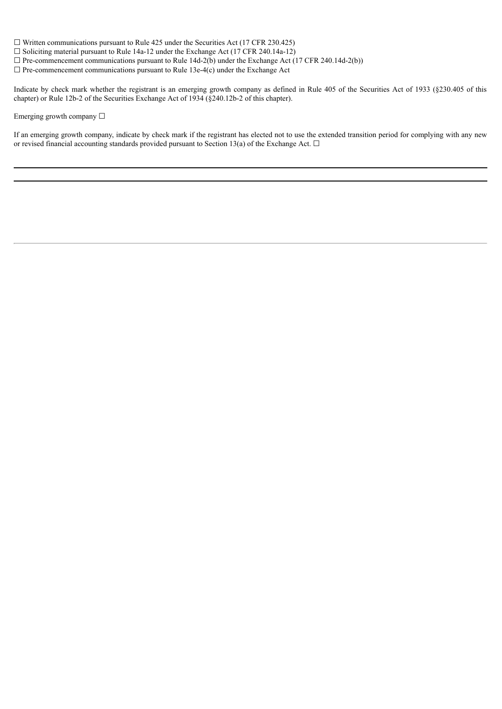$\Box$  Written communications pursuant to Rule 425 under the Securities Act (17 CFR 230.425)

 $\Box$  Soliciting material pursuant to Rule 14a-12 under the Exchange Act (17 CFR 240.14a-12)

 $\Box$  Pre-commencement communications pursuant to Rule 14d-2(b) under the Exchange Act (17 CFR 240.14d-2(b))

 $\Box$  Pre-commencement communications pursuant to Rule 13e-4(c) under the Exchange Act

Indicate by check mark whether the registrant is an emerging growth company as defined in Rule 405 of the Securities Act of 1933 (§230.405 of this chapter) or Rule 12b-2 of the Securities Exchange Act of 1934 (§240.12b-2 of this chapter).

Emerging growth company □

If an emerging growth company, indicate by check mark if the registrant has elected not to use the extended transition period for complying with any new or revised financial accounting standards provided pursuant to Section 13(a) of the Exchange Act.  $\Box$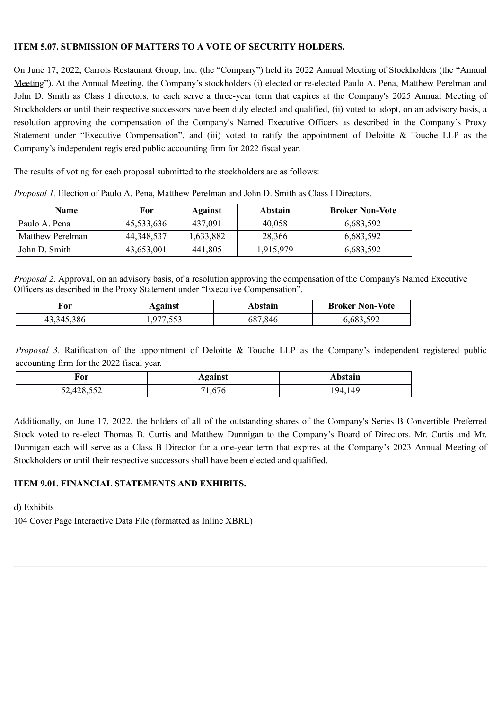#### **ITEM 5.07. SUBMISSION OF MATTERS TO A VOTE OF SECURITY HOLDERS.**

On June 17, 2022, Carrols Restaurant Group, Inc. (the "Company") held its 2022 Annual Meeting of Stockholders (the "Annual Meeting"). At the Annual Meeting, the Company's stockholders (i) elected or re-elected Paulo A. Pena, Matthew Perelman and John D. Smith as Class I directors, to each serve a three-year term that expires at the Company's 2025 Annual Meeting of Stockholders or until their respective successors have been duly elected and qualified, (ii) voted to adopt, on an advisory basis, a resolution approving the compensation of the Company's Named Executive Officers as described in the Company's Proxy Statement under "Executive Compensation", and (iii) voted to ratify the appointment of Deloitte & Touche LLP as the Company's independent registered public accounting firm for 2022 fiscal year.

The results of voting for each proposal submitted to the stockholders are as follows:

| <b>Name</b>      | For        | Against   | Abstain   | <b>Broker Non-Vote</b> |
|------------------|------------|-----------|-----------|------------------------|
| Paulo A. Pena    | 45,533,636 | 437,091   | 40,058    | 6,683,592              |
| Matthew Perelman | 44.348.537 | 1,633,882 | 28,366    | 6,683,592              |
| John D. Smith    | 43,653,001 | 441,805   | 1,915,979 | 6,683,592              |

*Proposal 1.* Election of Paulo A. Pena, Matthew Perelman and John D. Smith as Class I Directors.

*Proposal 2*. Approval, on an advisory basis, of a resolution approving the compensation of the Company's Named Executive Officers as described in the Proxy Statement under "Executive Compensation".

| †or          | Against | Abstain        | <b>Broker Non-Vote</b> |
|--------------|---------|----------------|------------------------|
| 43, 345, 386 | . ບ ບ ບ | 587.846<br>Oð. | 0,683,59               |

*Proposal 3*. Ratification of the appointment of Deloitte & Touche LLP as the Company's independent registered public accounting firm for the 2022 fiscal year.

| For        | <b>Against</b> | Abstain        |
|------------|----------------|----------------|
| $- - -$    | <b>← —</b>     | 149            |
| 428        | '0             | 194            |
| 32,420,332 | 1,0/           | $\overline{ }$ |

Additionally, on June 17, 2022, the holders of all of the outstanding shares of the Company's Series B Convertible Preferred Stock voted to re-elect Thomas B. Curtis and Matthew Dunnigan to the Company's Board of Directors. Mr. Curtis and Mr. Dunnigan each will serve as a Class B Director for a one-year term that expires at the Company's 2023 Annual Meeting of Stockholders or until their respective successors shall have been elected and qualified.

#### **ITEM 9.01. FINANCIAL STATEMENTS AND EXHIBITS.**

d) Exhibits

104 Cover Page Interactive Data File (formatted as Inline XBRL)